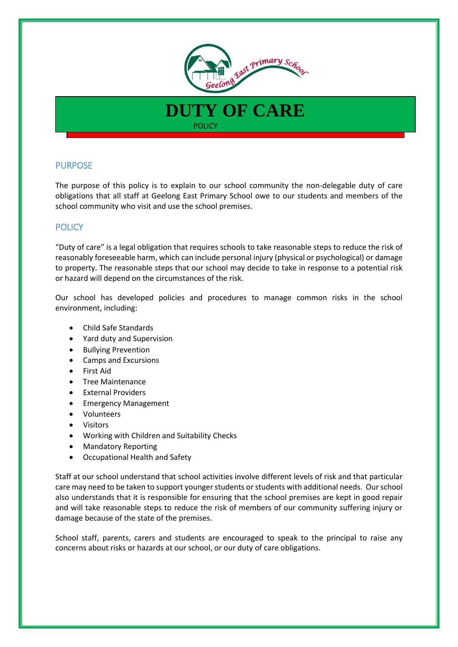

**DUTY OF CARE**

**POLICY** 

# PURPOSE

The purpose of this policy is to explain to our school community the non-delegable duty of care obligations that all staff at Geelong East Primary School owe to our students and members of the school community who visit and use the school premises.

## **POLICY**

"Duty of care" is a legal obligation that requires schools to take reasonable steps to reduce the risk of reasonably foreseeable harm, which can include personal injury (physical or psychological) or damage to property. The reasonable steps that our school may decide to take in response to a potential risk or hazard will depend on the circumstances of the risk.

Our school has developed policies and procedures to manage common risks in the school environment, including:

- Child Safe Standards
- Yard duty and Supervision
- Bullying Prevention
- Camps and Excursions
- First Aid
- Tree Maintenance
- External Providers
- **•** Emergency Management
- Volunteers
- Visitors
- Working with Children and Suitability Checks
- Mandatory Reporting
- Occupational Health and Safety

Staff at our school understand that school activities involve different levels of risk and that particular care may need to be taken to support younger students or students with additional needs. Our school also understands that it is responsible for ensuring that the school premises are kept in good repair and will take reasonable steps to reduce the risk of members of our community suffering injury or damage because of the state of the premises.

School staff, parents, carers and students are encouraged to speak to the principal to raise any concerns about risks or hazards at our school, or our duty of care obligations.